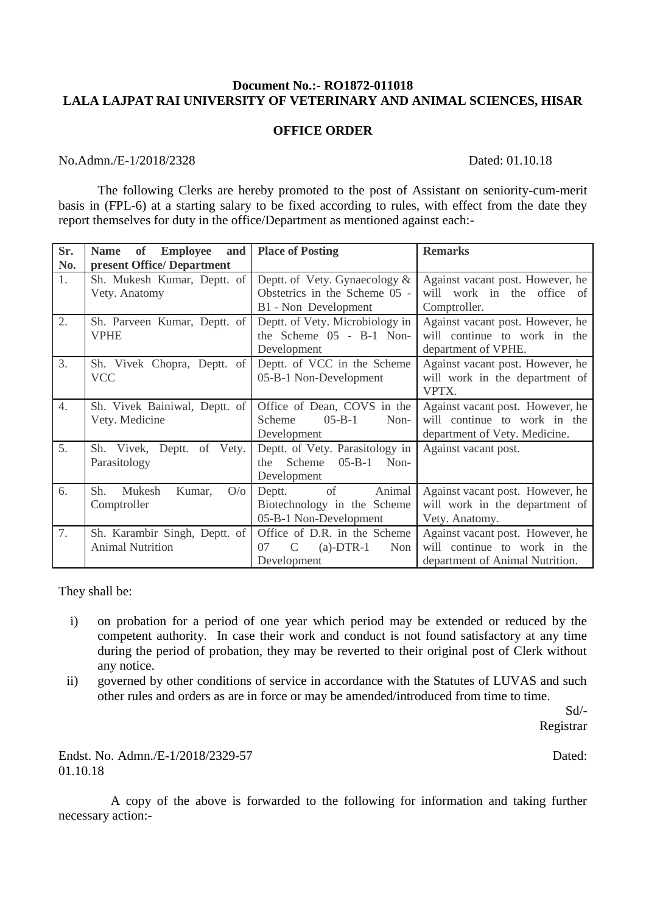## **Document No.:- RO1872-011018 LALA LAJPAT RAI UNIVERSITY OF VETERINARY AND ANIMAL SCIENCES, HISAR**

## **OFFICE ORDER**

## No.Admn./E-1/2018/2328 Dated: 01.10.18

The following Clerks are hereby promoted to the post of Assistant on seniority-cum-merit basis in (FPL-6) at a starting salary to be fixed according to rules, with effect from the date they report themselves for duty in the office/Department as mentioned against each:-

| Sr. | <b>Employee</b><br>and<br><b>Name</b><br>of | <b>Place of Posting</b>         | <b>Remarks</b>                   |
|-----|---------------------------------------------|---------------------------------|----------------------------------|
| No. | present Office/Department                   |                                 |                                  |
| 1.  | Sh. Mukesh Kumar, Deptt. of                 | Deptt. of Vety. Gynaecology &   | Against vacant post. However, he |
|     | Vety. Anatomy                               | Obstetrics in the Scheme 05 -   | will work in the office of       |
|     |                                             | B1 - Non Development            | Comptroller.                     |
| 2.  | Sh. Parveen Kumar, Deptt. of                | Deptt. of Vety. Microbiology in | Against vacant post. However, he |
|     | <b>VPHE</b>                                 | the Scheme 05 - B-1 Non-        | will continue to work in the     |
|     |                                             | Development                     | department of VPHE.              |
| 3.  | Sh. Vivek Chopra, Deptt. of                 | Deptt. of VCC in the Scheme     | Against vacant post. However, he |
|     | <b>VCC</b>                                  | 05-B-1 Non-Development          | will work in the department of   |
|     |                                             |                                 | VPTX.                            |
| 4.  | Sh. Vivek Bainiwal, Deptt. of               | Office of Dean, COVS in the     | Against vacant post. However, he |
|     | Vety. Medicine                              | $05 - B - 1$<br>Scheme<br>Non-  | will continue to work in the     |
|     |                                             | Development                     | department of Vety. Medicine.    |
| 5.  | Deptt. of Vety.<br>Sh. Vivek,               | Deptt. of Vety. Parasitology in | Against vacant post.             |
|     | Parasitology                                | $05-B-1$ Non-<br>Scheme<br>the  |                                  |
|     |                                             | Development                     |                                  |
| 6.  | Sh.<br>Mukesh<br>O/O<br>Kumar,              | of Animal<br>Deptt.             | Against vacant post. However, he |
|     | Comptroller                                 | Biotechnology in the Scheme     | will work in the department of   |
|     |                                             | 05-B-1 Non-Development          | Vety. Anatomy.                   |
| 7.  | Sh. Karambir Singh, Deptt. of               | Office of D.R. in the Scheme    | Against vacant post. However, he |
|     | <b>Animal Nutrition</b>                     | $(a)$ -DTR-1<br>07<br>Non<br>C  | will continue to work in the     |
|     |                                             | Development                     | department of Animal Nutrition.  |

They shall be:

- i) on probation for a period of one year which period may be extended or reduced by the competent authority. In case their work and conduct is not found satisfactory at any time during the period of probation, they may be reverted to their original post of Clerk without any notice.
- ii) governed by other conditions of service in accordance with the Statutes of LUVAS and such other rules and orders as are in force or may be amended/introduced from time to time.

Sd/- Registrar

Endst. No. Admn./E-1/2018/2329-57 Dated: Dated: Dated: Dated: Dated: 2018. 01.10.18

 A copy of the above is forwarded to the following for information and taking further necessary action:-